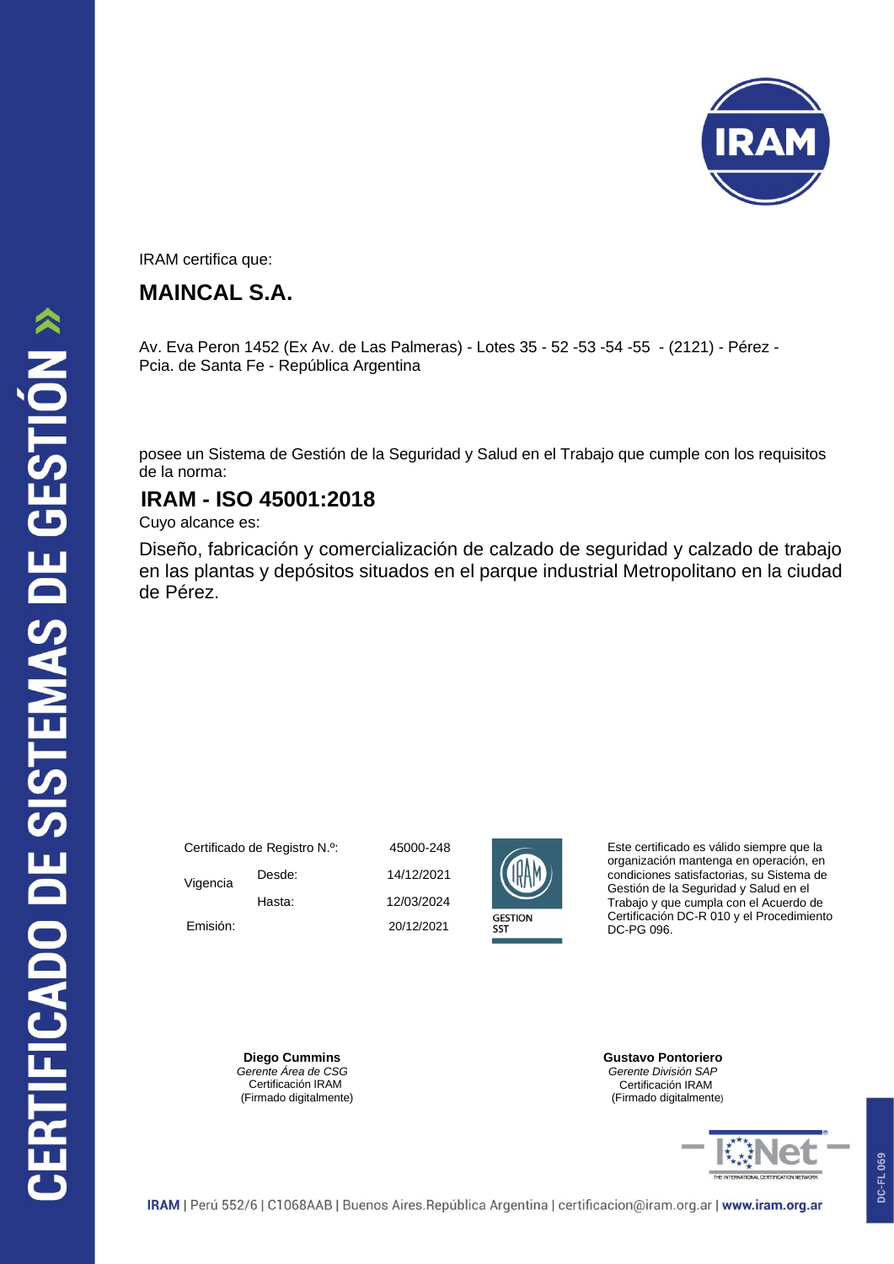

IRAM certifica que:

## **MAINCAL S.A.**

Av. Eva Peron 1452 (Ex Av. de Las Palmeras) - Lotes 35 - 52 -53 -54 -55 - (2121) - Pérez - Pcia. de Santa Fe - República Argentina

posee un Sistema de Gestión de la Seguridad y Salud en el Trabajo que cumple con los requisitos de la norma:

## **IRAM - ISO 45001:2018**

Cuyo alcance es:

Diseño, fabricación y comercialización de calzado de seguridad y calzado de trabajo en las plantas y depósitos situados en el parque industrial Metropolitano en la ciudad de Pérez.

| Certificado de Registro N.º: |        |    |
|------------------------------|--------|----|
| Vigencia                     | Desde: | 14 |
|                              | Hasta: | 12 |
| Emisión:                     |        | 21 |

5000-248 2/03/2024 14/12/2021 0/12/2021



Este certificado es válido siempre que la organización mantenga en operación, en condiciones satisfactorias, su Sistema de Gestión de la Seguridad y Salud en el Trabajo y que cumpla con el Acuerdo de Certificación DC-R 010 y el Procedimiento DC-PG 096.

**Diego Cummins**  *Gerente Área de CSG*  Certificación IRAM (Firmado digitalmente) **Gustavo Pontoriero** *Gerente División SAP* Certificación IRAM (Firmado digitalmente)